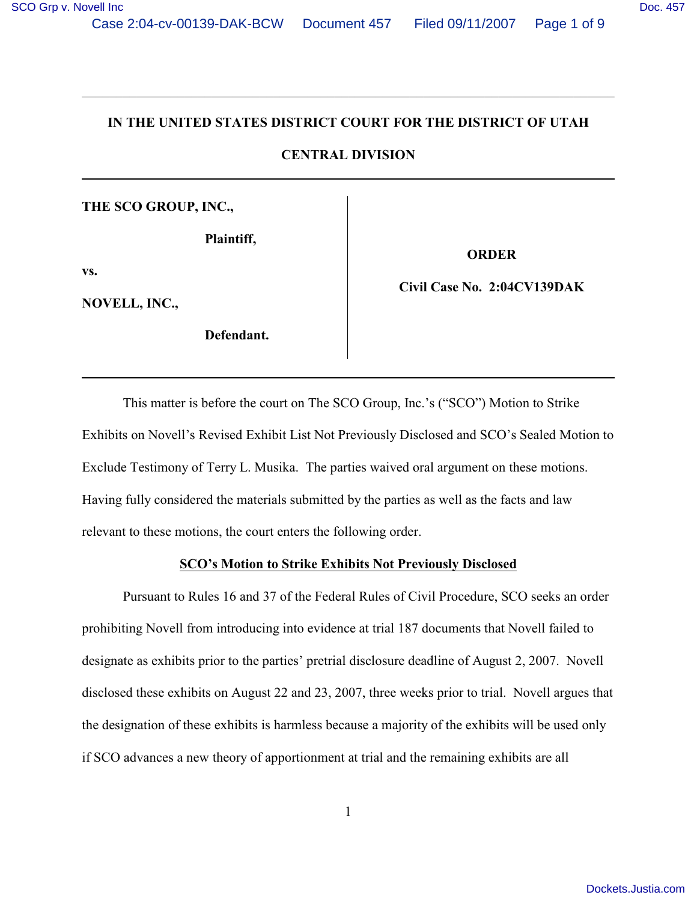## **IN THE UNITED STATES DISTRICT COURT FOR THE DISTRICT OF UTAH**

\_\_\_\_\_\_\_\_\_\_\_\_\_\_\_\_\_\_\_\_\_\_\_\_\_\_\_\_\_\_\_\_\_\_\_\_\_\_\_\_\_\_\_\_\_\_\_\_\_\_\_\_\_\_\_\_\_\_\_\_\_\_\_\_\_\_\_\_\_\_\_\_\_\_\_\_\_\_

**CENTRAL DIVISION**

**THE SCO GROUP, INC.,**

**Plaintiff,**

**vs.**

**NOVELL, INC.,**

**Defendant.** 

**ORDER**

**Civil Case No. 2:04CV139DAK**

This matter is before the court on The SCO Group, Inc.'s ("SCO") Motion to Strike Exhibits on Novell's Revised Exhibit List Not Previously Disclosed and SCO's Sealed Motion to Exclude Testimony of Terry L. Musika. The parties waived oral argument on these motions. Having fully considered the materials submitted by the parties as well as the facts and law relevant to these motions, the court enters the following order.

## **SCO's Motion to Strike Exhibits Not Previously Disclosed**

Pursuant to Rules 16 and 37 of the Federal Rules of Civil Procedure, SCO seeks an order prohibiting Novell from introducing into evidence at trial 187 documents that Novell failed to designate as exhibits prior to the parties' pretrial disclosure deadline of August 2, 2007. Novell disclosed these exhibits on August 22 and 23, 2007, three weeks prior to trial. Novell argues that the designation of these exhibits is harmless because a majority of the exhibits will be used only if SCO advances a new theory of apportionment at trial and the remaining exhibits are all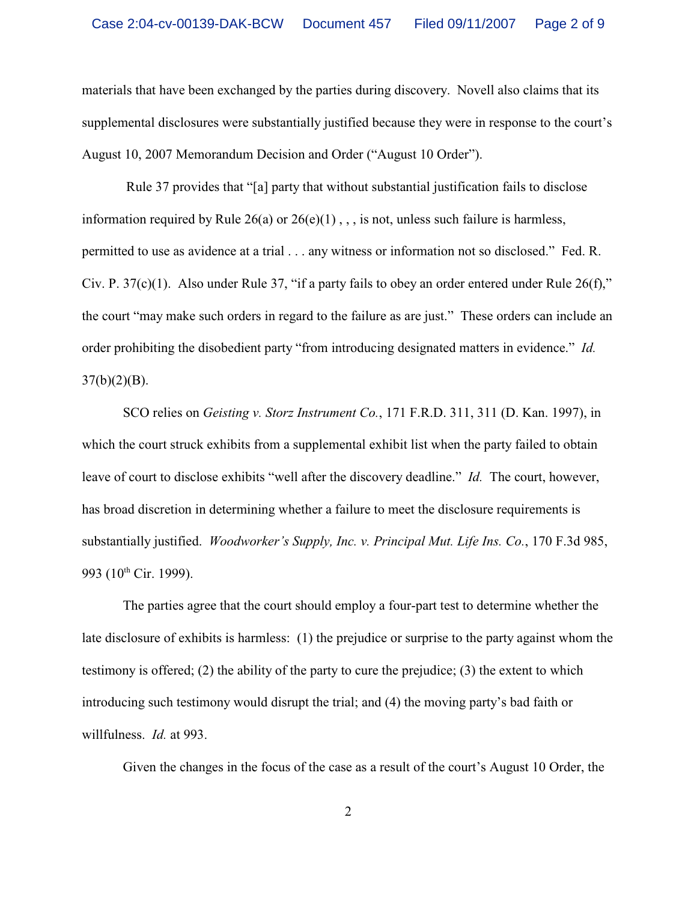materials that have been exchanged by the parties during discovery. Novell also claims that its supplemental disclosures were substantially justified because they were in response to the court's August 10, 2007 Memorandum Decision and Order ("August 10 Order").

 Rule 37 provides that "[a] party that without substantial justification fails to disclose information required by Rule  $26(a)$  or  $26(e)(1)$ ,,, is not, unless such failure is harmless, permitted to use as avidence at a trial . . . any witness or information not so disclosed." Fed. R. Civ. P.  $37(c)(1)$ . Also under Rule 37, "if a party fails to obey an order entered under Rule 26(f)," the court "may make such orders in regard to the failure as are just." These orders can include an order prohibiting the disobedient party "from introducing designated matters in evidence." *Id.*  $37(b)(2)(B)$ .

SCO relies on *Geisting v. Storz Instrument Co.*, 171 F.R.D. 311, 311 (D. Kan. 1997), in which the court struck exhibits from a supplemental exhibit list when the party failed to obtain leave of court to disclose exhibits "well after the discovery deadline." *Id.* The court, however, has broad discretion in determining whether a failure to meet the disclosure requirements is substantially justified. *Woodworker's Supply, Inc. v. Principal Mut. Life Ins. Co.*, 170 F.3d 985, 993 (10<sup>th</sup> Cir. 1999).

The parties agree that the court should employ a four-part test to determine whether the late disclosure of exhibits is harmless: (1) the prejudice or surprise to the party against whom the testimony is offered; (2) the ability of the party to cure the prejudice; (3) the extent to which introducing such testimony would disrupt the trial; and (4) the moving party's bad faith or willfulness. *Id.* at 993.

Given the changes in the focus of the case as a result of the court's August 10 Order, the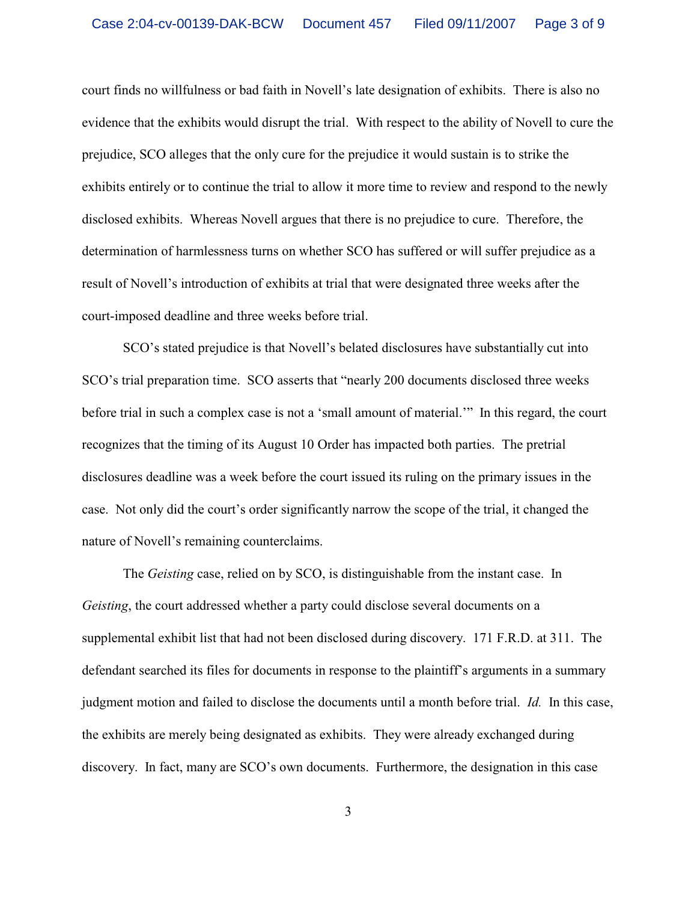court finds no willfulness or bad faith in Novell's late designation of exhibits. There is also no evidence that the exhibits would disrupt the trial. With respect to the ability of Novell to cure the prejudice, SCO alleges that the only cure for the prejudice it would sustain is to strike the exhibits entirely or to continue the trial to allow it more time to review and respond to the newly disclosed exhibits. Whereas Novell argues that there is no prejudice to cure. Therefore, the determination of harmlessness turns on whether SCO has suffered or will suffer prejudice as a result of Novell's introduction of exhibits at trial that were designated three weeks after the court-imposed deadline and three weeks before trial.

SCO's stated prejudice is that Novell's belated disclosures have substantially cut into SCO's trial preparation time. SCO asserts that "nearly 200 documents disclosed three weeks before trial in such a complex case is not a 'small amount of material.'" In this regard, the court recognizes that the timing of its August 10 Order has impacted both parties. The pretrial disclosures deadline was a week before the court issued its ruling on the primary issues in the case. Not only did the court's order significantly narrow the scope of the trial, it changed the nature of Novell's remaining counterclaims.

The *Geisting* case, relied on by SCO, is distinguishable from the instant case. In *Geisting*, the court addressed whether a party could disclose several documents on a supplemental exhibit list that had not been disclosed during discovery. 171 F.R.D. at 311. The defendant searched its files for documents in response to the plaintiff's arguments in a summary judgment motion and failed to disclose the documents until a month before trial. *Id.* In this case, the exhibits are merely being designated as exhibits. They were already exchanged during discovery. In fact, many are SCO's own documents. Furthermore, the designation in this case

3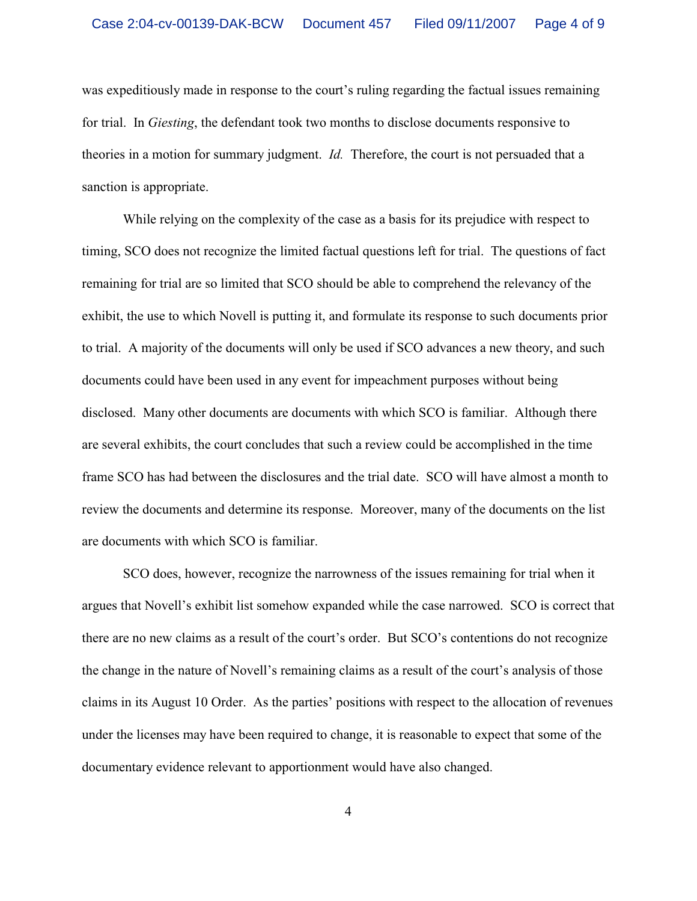was expeditiously made in response to the court's ruling regarding the factual issues remaining for trial. In *Giesting*, the defendant took two months to disclose documents responsive to theories in a motion for summary judgment. *Id.* Therefore, the court is not persuaded that a sanction is appropriate.

 While relying on the complexity of the case as a basis for its prejudice with respect to timing, SCO does not recognize the limited factual questions left for trial. The questions of fact remaining for trial are so limited that SCO should be able to comprehend the relevancy of the exhibit, the use to which Novell is putting it, and formulate its response to such documents prior to trial. A majority of the documents will only be used if SCO advances a new theory, and such documents could have been used in any event for impeachment purposes without being disclosed. Many other documents are documents with which SCO is familiar. Although there are several exhibits, the court concludes that such a review could be accomplished in the time frame SCO has had between the disclosures and the trial date. SCO will have almost a month to review the documents and determine its response. Moreover, many of the documents on the list are documents with which SCO is familiar.

SCO does, however, recognize the narrowness of the issues remaining for trial when it argues that Novell's exhibit list somehow expanded while the case narrowed. SCO is correct that there are no new claims as a result of the court's order. But SCO's contentions do not recognize the change in the nature of Novell's remaining claims as a result of the court's analysis of those claims in its August 10 Order. As the parties' positions with respect to the allocation of revenues under the licenses may have been required to change, it is reasonable to expect that some of the documentary evidence relevant to apportionment would have also changed.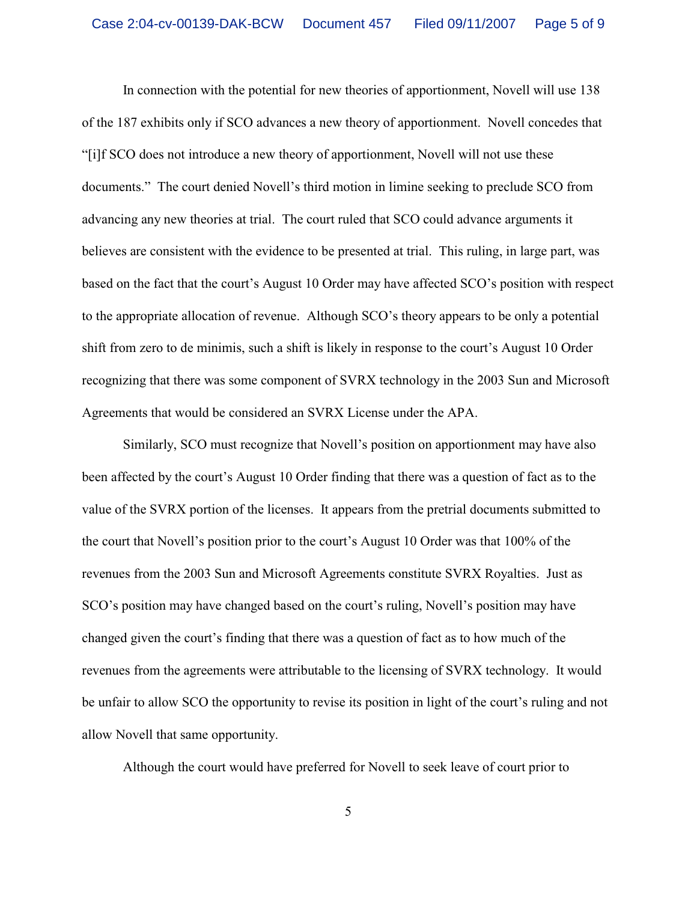In connection with the potential for new theories of apportionment, Novell will use 138 of the 187 exhibits only if SCO advances a new theory of apportionment. Novell concedes that "[i]f SCO does not introduce a new theory of apportionment, Novell will not use these documents." The court denied Novell's third motion in limine seeking to preclude SCO from advancing any new theories at trial. The court ruled that SCO could advance arguments it believes are consistent with the evidence to be presented at trial. This ruling, in large part, was based on the fact that the court's August 10 Order may have affected SCO's position with respect to the appropriate allocation of revenue. Although SCO's theory appears to be only a potential shift from zero to de minimis, such a shift is likely in response to the court's August 10 Order recognizing that there was some component of SVRX technology in the 2003 Sun and Microsoft Agreements that would be considered an SVRX License under the APA.

Similarly, SCO must recognize that Novell's position on apportionment may have also been affected by the court's August 10 Order finding that there was a question of fact as to the value of the SVRX portion of the licenses. It appears from the pretrial documents submitted to the court that Novell's position prior to the court's August 10 Order was that 100% of the revenues from the 2003 Sun and Microsoft Agreements constitute SVRX Royalties. Just as SCO's position may have changed based on the court's ruling, Novell's position may have changed given the court's finding that there was a question of fact as to how much of the revenues from the agreements were attributable to the licensing of SVRX technology. It would be unfair to allow SCO the opportunity to revise its position in light of the court's ruling and not allow Novell that same opportunity.

Although the court would have preferred for Novell to seek leave of court prior to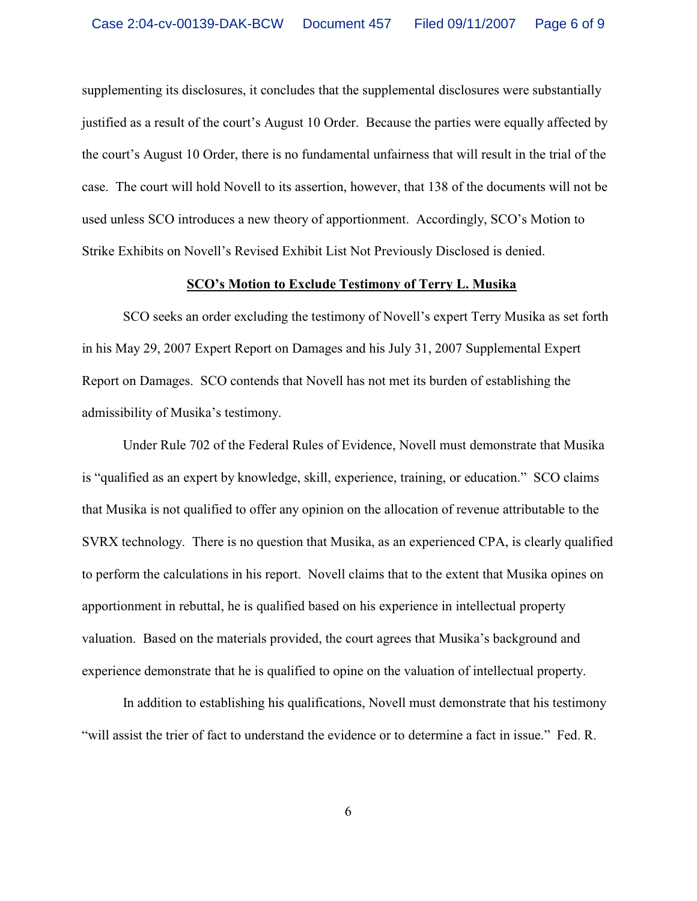supplementing its disclosures, it concludes that the supplemental disclosures were substantially justified as a result of the court's August 10 Order. Because the parties were equally affected by the court's August 10 Order, there is no fundamental unfairness that will result in the trial of the case. The court will hold Novell to its assertion, however, that 138 of the documents will not be used unless SCO introduces a new theory of apportionment. Accordingly, SCO's Motion to Strike Exhibits on Novell's Revised Exhibit List Not Previously Disclosed is denied.

## **SCO's Motion to Exclude Testimony of Terry L. Musika**

SCO seeks an order excluding the testimony of Novell's expert Terry Musika as set forth in his May 29, 2007 Expert Report on Damages and his July 31, 2007 Supplemental Expert Report on Damages. SCO contends that Novell has not met its burden of establishing the admissibility of Musika's testimony.

Under Rule 702 of the Federal Rules of Evidence, Novell must demonstrate that Musika is "qualified as an expert by knowledge, skill, experience, training, or education." SCO claims that Musika is not qualified to offer any opinion on the allocation of revenue attributable to the SVRX technology. There is no question that Musika, as an experienced CPA, is clearly qualified to perform the calculations in his report. Novell claims that to the extent that Musika opines on apportionment in rebuttal, he is qualified based on his experience in intellectual property valuation. Based on the materials provided, the court agrees that Musika's background and experience demonstrate that he is qualified to opine on the valuation of intellectual property.

In addition to establishing his qualifications, Novell must demonstrate that his testimony "will assist the trier of fact to understand the evidence or to determine a fact in issue." Fed. R.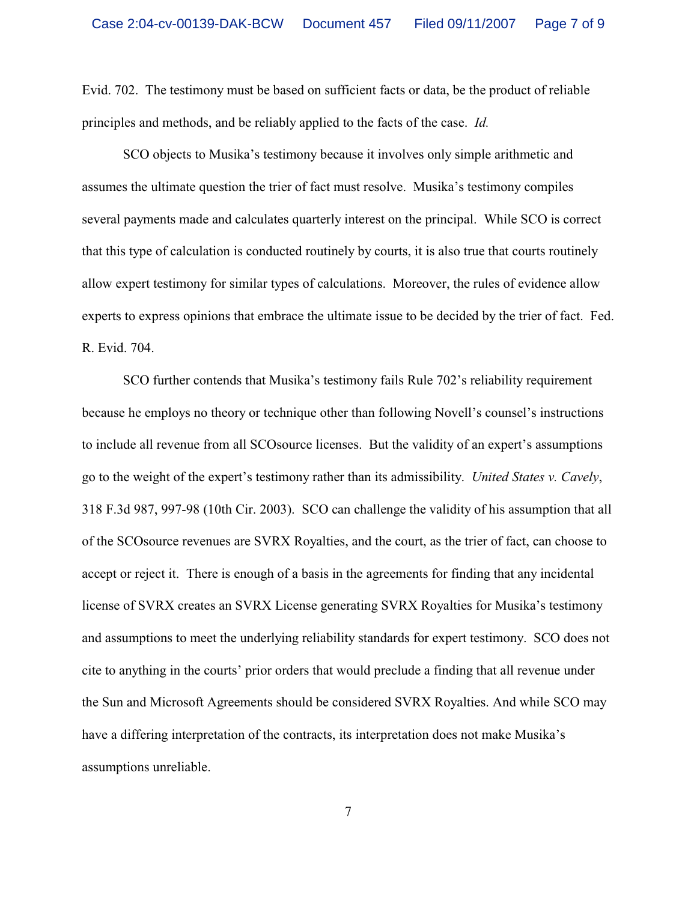Evid. 702. The testimony must be based on sufficient facts or data, be the product of reliable principles and methods, and be reliably applied to the facts of the case. *Id.*

SCO objects to Musika's testimony because it involves only simple arithmetic and assumes the ultimate question the trier of fact must resolve. Musika's testimony compiles several payments made and calculates quarterly interest on the principal. While SCO is correct that this type of calculation is conducted routinely by courts, it is also true that courts routinely allow expert testimony for similar types of calculations. Moreover, the rules of evidence allow experts to express opinions that embrace the ultimate issue to be decided by the trier of fact. Fed. R. Evid. 704.

SCO further contends that Musika's testimony fails Rule 702's reliability requirement because he employs no theory or technique other than following Novell's counsel's instructions to include all revenue from all SCOsource licenses. But the validity of an expert's assumptions go to the weight of the expert's testimony rather than its admissibility. *United States v. Cavely*, 318 F.3d 987, 997-98 (10th Cir. 2003). SCO can challenge the validity of his assumption that all of the SCOsource revenues are SVRX Royalties, and the court, as the trier of fact, can choose to accept or reject it. There is enough of a basis in the agreements for finding that any incidental license of SVRX creates an SVRX License generating SVRX Royalties for Musika's testimony and assumptions to meet the underlying reliability standards for expert testimony. SCO does not cite to anything in the courts' prior orders that would preclude a finding that all revenue under the Sun and Microsoft Agreements should be considered SVRX Royalties. And while SCO may have a differing interpretation of the contracts, its interpretation does not make Musika's assumptions unreliable.

7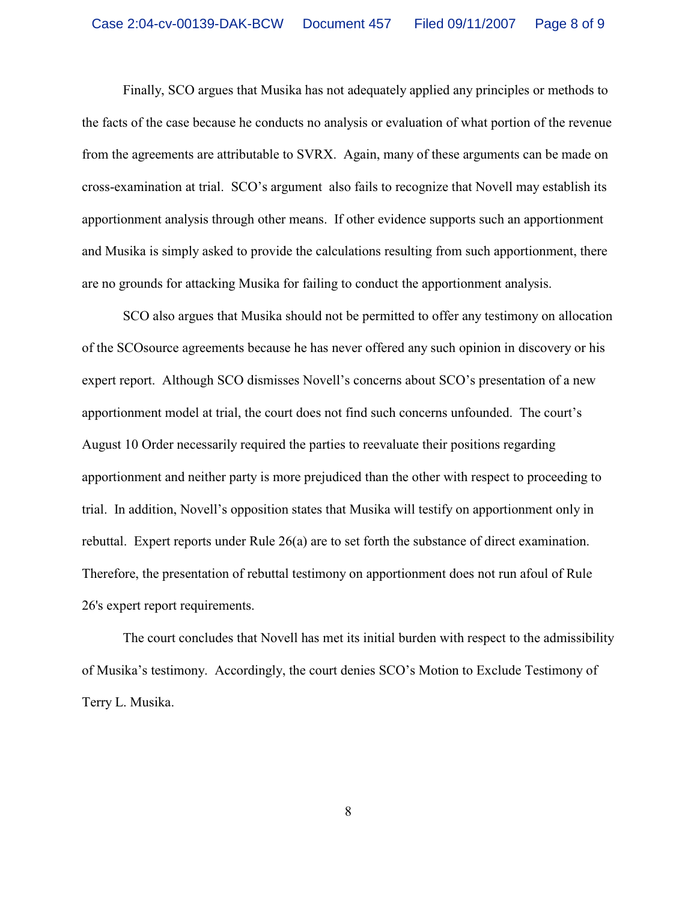Finally, SCO argues that Musika has not adequately applied any principles or methods to the facts of the case because he conducts no analysis or evaluation of what portion of the revenue from the agreements are attributable to SVRX. Again, many of these arguments can be made on cross-examination at trial. SCO's argument also fails to recognize that Novell may establish its apportionment analysis through other means. If other evidence supports such an apportionment and Musika is simply asked to provide the calculations resulting from such apportionment, there are no grounds for attacking Musika for failing to conduct the apportionment analysis.

SCO also argues that Musika should not be permitted to offer any testimony on allocation of the SCOsource agreements because he has never offered any such opinion in discovery or his expert report. Although SCO dismisses Novell's concerns about SCO's presentation of a new apportionment model at trial, the court does not find such concerns unfounded. The court's August 10 Order necessarily required the parties to reevaluate their positions regarding apportionment and neither party is more prejudiced than the other with respect to proceeding to trial. In addition, Novell's opposition states that Musika will testify on apportionment only in rebuttal. Expert reports under Rule 26(a) are to set forth the substance of direct examination. Therefore, the presentation of rebuttal testimony on apportionment does not run afoul of Rule 26's expert report requirements.

The court concludes that Novell has met its initial burden with respect to the admissibility of Musika's testimony. Accordingly, the court denies SCO's Motion to Exclude Testimony of Terry L. Musika.